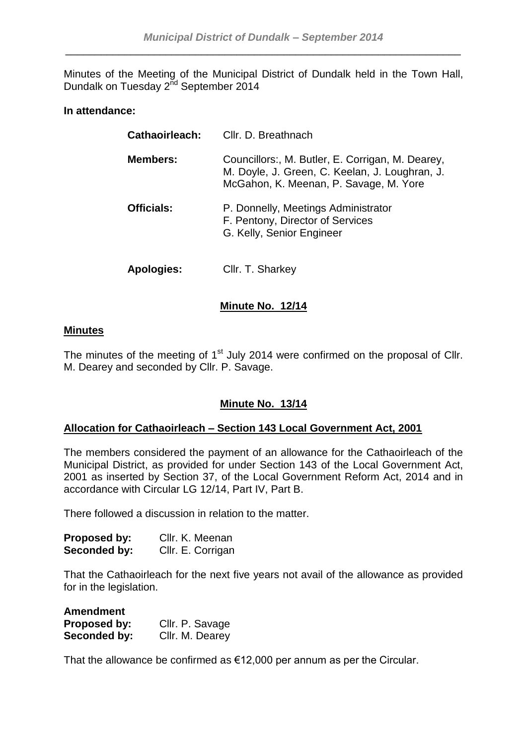Minutes of the Meeting of the Municipal District of Dundalk held in the Town Hall, Dundalk on Tuesday 2<sup>nd</sup> September 2014

# **In attendance:**

| <b>Cathaoirleach:</b> | Cllr. D. Breathnach                                                                                                                          |
|-----------------------|----------------------------------------------------------------------------------------------------------------------------------------------|
| <b>Members:</b>       | Councillors:, M. Butler, E. Corrigan, M. Dearey,<br>M. Doyle, J. Green, C. Keelan, J. Loughran, J.<br>McGahon, K. Meenan, P. Savage, M. Yore |
| <b>Officials:</b>     | P. Donnelly, Meetings Administrator<br>F. Pentony, Director of Services<br>G. Kelly, Senior Engineer                                         |
| <b>Apologies:</b>     | Cllr. T. Sharkey                                                                                                                             |

# **Minute No. 12/14**

# **Minutes**

The minutes of the meeting of 1<sup>st</sup> July 2014 were confirmed on the proposal of Cllr. M. Dearey and seconded by Cllr. P. Savage.

# **Minute No. 13/14**

# **Allocation for Cathaoirleach – Section 143 Local Government Act, 2001**

The members considered the payment of an allowance for the Cathaoirleach of the Municipal District, as provided for under Section 143 of the Local Government Act, 2001 as inserted by Section 37, of the Local Government Reform Act, 2014 and in accordance with Circular LG 12/14, Part IV, Part B.

There followed a discussion in relation to the matter.

| <b>Proposed by:</b> | Cllr. K. Meenan   |
|---------------------|-------------------|
| Seconded by:        | Cllr. E. Corrigan |

That the Cathaoirleach for the next five years not avail of the allowance as provided for in the legislation.

| <b>Amendment</b> |                 |
|------------------|-----------------|
| Proposed by:     | Cllr. P. Savage |
| Seconded by:     | Cllr. M. Dearey |

That the allowance be confirmed as  $€12,000$  per annum as per the Circular.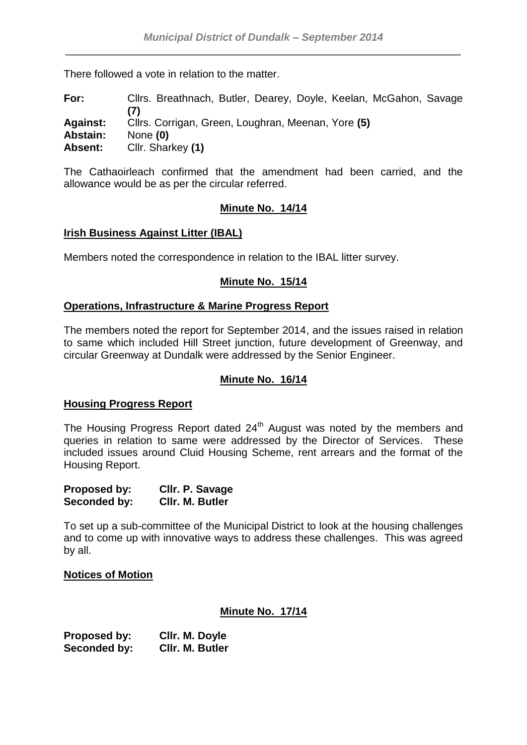There followed a vote in relation to the matter.

**For:** Cllrs. Breathnach, Butler, Dearey, Doyle, Keelan, McGahon, Savage **(7) Against:** Cllrs. Corrigan, Green, Loughran, Meenan, Yore **(5) Abstain:** None **(0) Absent:** Cllr. Sharkey **(1)**

The Cathaoirleach confirmed that the amendment had been carried, and the allowance would be as per the circular referred.

# **Minute No. 14/14**

#### **Irish Business Against Litter (IBAL)**

Members noted the correspondence in relation to the IBAL litter survey.

# **Minute No. 15/14**

#### **Operations, Infrastructure & Marine Progress Report**

The members noted the report for September 2014, and the issues raised in relation to same which included Hill Street junction, future development of Greenway, and circular Greenway at Dundalk were addressed by the Senior Engineer.

# **Minute No. 16/14**

#### **Housing Progress Report**

The Housing Progress Report dated 24<sup>th</sup> August was noted by the members and queries in relation to same were addressed by the Director of Services. These included issues around Cluid Housing Scheme, rent arrears and the format of the Housing Report.

| <b>Proposed by:</b> | Cllr. P. Savage |
|---------------------|-----------------|
| Seconded by:        | CIIr. M. Butler |

To set up a sub-committee of the Municipal District to look at the housing challenges and to come up with innovative ways to address these challenges. This was agreed by all.

#### **Notices of Motion**

#### **Minute No. 17/14**

**Proposed by: Cllr. M. Doyle Seconded by: Cllr. M. Butler**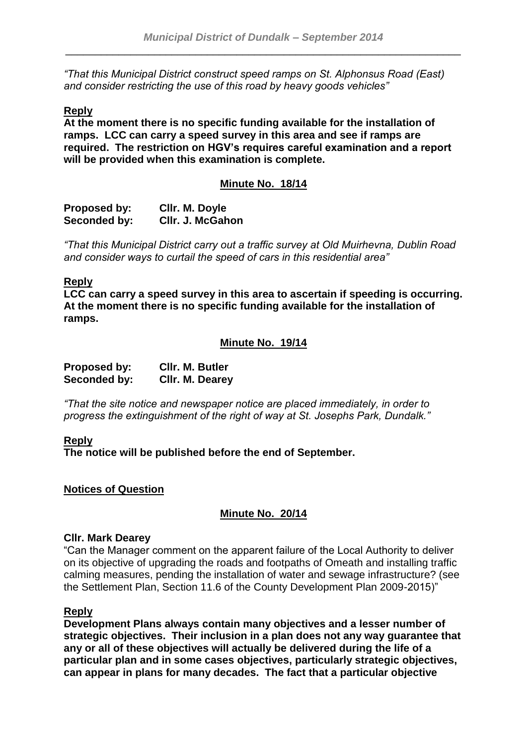*"That this Municipal District construct speed ramps on St. Alphonsus Road (East) and consider restricting the use of this road by heavy goods vehicles"*

# **Reply**

**At the moment there is no specific funding available for the installation of ramps. LCC can carry a speed survey in this area and see if ramps are required. The restriction on HGV's requires careful examination and a report will be provided when this examination is complete.**

#### **Minute No. 18/14**

| <b>Proposed by:</b> | Cllr. M. Doyle   |
|---------------------|------------------|
| Seconded by:        | CIIr. J. McGahon |

*"That this Municipal District carry out a traffic survey at Old Muirhevna, Dublin Road and consider ways to curtail the speed of cars in this residential area"*

#### **Reply**

**LCC can carry a speed survey in this area to ascertain if speeding is occurring. At the moment there is no specific funding available for the installation of ramps.**

#### **Minute No. 19/14**

| Proposed by: | CIIr. M. Butler |
|--------------|-----------------|
| Seconded by: | Cllr. M. Dearey |

*"That the site notice and newspaper notice are placed immediately, in order to progress the extinguishment of the right of way at St. Josephs Park, Dundalk."*

#### **Reply**

**The notice will be published before the end of September.**

#### **Notices of Question**

# **Minute No. 20/14**

### **Cllr. Mark Dearey**

"Can the Manager comment on the apparent failure of the Local Authority to deliver on its objective of upgrading the roads and footpaths of Omeath and installing traffic calming measures, pending the installation of water and sewage infrastructure? (see the Settlement Plan, Section 11.6 of the County Development Plan 2009-2015)"

#### **Reply**

**Development Plans always contain many objectives and a lesser number of strategic objectives. Their inclusion in a plan does not any way guarantee that any or all of these objectives will actually be delivered during the life of a particular plan and in some cases objectives, particularly strategic objectives, can appear in plans for many decades. The fact that a particular objective**